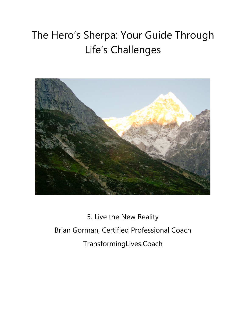# The Hero's Sherpa: Your Guide Through Life's Challenges



5. Live the New Reality Brian Gorman, Certified Professional Coach TransformingLives.Coach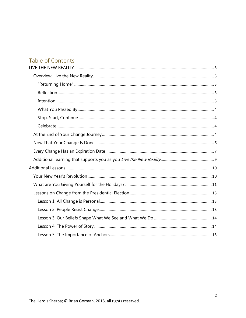# Table of Contents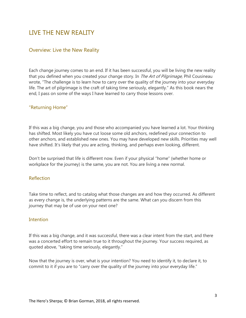# <span id="page-2-0"></span>LIVE THE NEW REALITY

# <span id="page-2-1"></span>Overview: Live the New Reality

Each change journey comes to an end. If it has been successful, you will be living the new reality that you defined when you created your change story. In *The Art of Pilgrimage*, Phil Cousineau wrote, "The challenge is to learn how to carry over the quality of the journey into your everyday life. The art of pilgrimage is the craft of taking time seriously, elegantly." As this book nears the end, I pass on some of the ways I have learned to carry those lessons over.

## <span id="page-2-2"></span>"Returning Home"

If this was a big change, you and those who accompanied you have learned a lot. Your thinking has shifted. Most likely you have cut loose some old anchors, redefined your connection to other anchors, and established new ones. You may have developed new skills. Priorities may well have shifted. It's likely that you are acting, thinking, and perhaps even looking, different.

Don't be surprised that life is different now. Even if your physical "home" (whether home or workplace for the journey) is the same, you are not. You are living a new normal.

### <span id="page-2-3"></span>Reflection

Take time to reflect, and to catalog what those changes are and how they occurred. As different as every change is, the underlying patterns are the same. What can you discern from this journey that may be of use on your next one?

### <span id="page-2-4"></span>**Intention**

If this was a big change, and it was successful, there was a clear intent from the start, and there was a concerted effort to remain true to it throughout the journey. Your success required, as quoted above, "taking time seriously, elegantly."

Now that the journey is over, what is your intention? You need to identify it, to declare it, to commit to it if you are to "carry over the quality of the journey into your everyday life."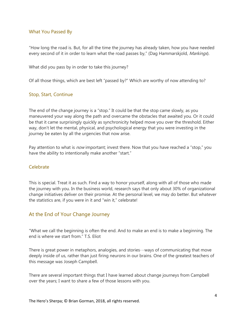## <span id="page-3-0"></span>What You Passed By

"How long the road is. But, for all the time the journey has already taken, how you have needed every second of it in order to learn what the road passes by," (Dag Hammarskjold, *Markings*).

What did you pass by in order to take this journey?

Of all those things, which are best left "passed by?" Which are worthy of now attending to?

### <span id="page-3-1"></span>Stop, Start, Continue

The end of the change journey is a "stop." It could be that the stop came slowly, as you maneuvered your way along the path and overcame the obstacles that awaited you. Or it could be that it came surprisingly quickly as synchronicity helped move you over the threshold. Either way, don't let the mental, physical, and psychological energy that you were investing in the journey be eaten by all the urgencies that now arise.

Pay attention to what is *now* important; invest there. Now that you have reached a "stop," you have the ability to intentionally make another "start."

#### <span id="page-3-2"></span>Celebrate

This is special. Treat it as such. Find a way to honor yourself, along with all of those who made the journey with you. In the business world, research says that only about 30% of organizational change initiatives deliver on their promise. At the personal level, we may do better. But whatever the statistics are, if you were in it and "win it," celebrate!

# <span id="page-3-3"></span>At the End of Your Change Journey

"What we call the beginning is often the end. And to make an end is to make a beginning. The end is where we start from." T.S. Eliot

There is great power in metaphors, analogies, and stories…ways of communicating that move deeply inside of us, rather than just firing neurons in our brains. One of the greatest teachers of this message was Joseph Campbell.

There are several important things that I have learned about change journeys from Campbell over the years; I want to share a few of those lessons with you.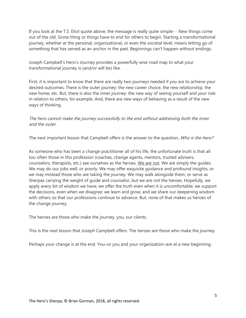If you look at the T.S. Eliot quote above, the message is really quite simple… New things come out of the old. Some thing or things have to end for others to begin. Starting a transformational journey, whether at the personal, organizational, or even the societal level, means letting go of something that has served as an anchor in the past. Beginnings can't happen without endings.

Joseph Campbell's Hero's Journey provides a powerfully wise road map to what your transformational journey is (and/or will be) like.

First, it is important to know that there are really two journeys needed if you are to achieve your desired outcomes. There is the outer journey: the new career choice, the new relationship, the new home, etc. But, there is also the inner journey: the new way of seeing yourself and your role in relation to others, for example. And, there are new ways of behaving as a result of the new ways of thinking.

The hero cannot make the journey successfully to the end without addressing both the inner and the outer.

The next important lesson that Campbell offers is the answer to the question, Who is the hero?

As someone who has been a change practitioner all of his life, the unfortunate truth is that all too often those in this profession (coaches, change agents, mentors, trusted advisers, counselors, therapists, etc.) see ourselves as the heroes. We are not. We are simply the guides. We may do our jobs well, or poorly. We may offer exquisite guidance and profound insights, or we may mislead those who are taking the journey. We may walk alongside them, or serve as Sherpas carrying the weight of guide and counselor, but we are not the heroes. Hopefully, we apply every bit of wisdom we have; we offer the truth even when it is uncomfortable; we support the decisions, even when we disagree; we learn and grow; and we share our deepening wisdom with others so that our professions continue to advance. But, none of that makes us heroes of the change journey.

The heroes are those who make the journey, you, our clients.

This is the next lesson that Joseph Campbell offers. The heroes are those who make the journey.

Perhaps your change is at the end. You–or you and your organization–are at a new beginning.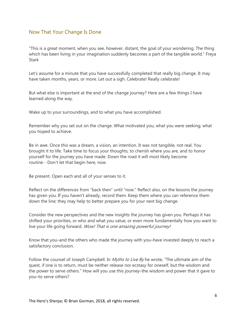# <span id="page-5-0"></span>Now That Your Change Is Done

"This is a great moment, when you see, however, distant, the goal of your wondering. The thing which has been living in your imagination suddenly becomes a part of the tangible world." Freya **Stark** 

Let's assume for a minute that you have successfully completed that really big change. It may have taken months, years, or more. Let out a sigh. Celebrate! Really celebrate!

But what else is important at the end of the change journey? Here are a few things I have learned along the way.

Wake up to your surroundings, and to what you have accomplished.

Remember why you set out on the change. What motivated you; what you were seeking; what you hoped to achieve.

Be in awe. Once this was a dream, a vision, an intention. It was not tangible, not real. You brought it to life. Take time to focus your thoughts, to cherish where you are, and to honor yourself for the journey you have made. Down the road it will most likely become routine…Don't let that begin here, now.

Be present. Open each and all of your senses to it.

Reflect on the differences from "back then" until "now." Reflect also, on the lessons the journey has given you. If you haven't already, record them. Keep them where you can reference them down the line; they may help to better prepare you for your next big change.

Consider the new perspectives and the new insights the journey has given you. Perhaps it has shifted your priorities, or who and what you value, or even more fundamentally how you want to live your life going forward. Wow! That is one amazing powerful journey!

Know that you–and the others who made the journey with you–have invested deeply to reach a satisfactory conclusion.

Follow the counsel of Joseph Campbell. In *Myths to Live By* he wrote, "The ultimate aim of the quest, if one is to return, must be neither release nor ecstasy for oneself, but the wisdom and the power to serve others." How will you use this journey–the wisdom and power that it gave to you–to serve others?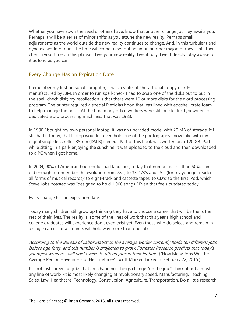Whether you have sown the seed or others have, know that another change journey awaits you. Perhaps it will be a series of minor shifts as you attune the new reality. Perhaps small adjustments as the world outside the new reality continues to change. And, in this turbulent and dynamic world of ours, the time will come to set out again on another major journey. Until then, cherish your time on this plateau. Live your new reality. Live it fully. Live it deeply. Stay awake to it as long as you can.

# <span id="page-6-0"></span>Every Change Has an Expiration Date

I remember my first personal computer; it was a state-of-the-art dual floppy disk PC manufactured by IBM. In order to run spell-check I had to swap one of the disks out to put in the spell-check disk; my recollection is that there were 10 or more disks for the word processing program. The printer required a special Plexiglas hood that was lined with eggshell crate foam to help manage the noise. At the time many office workers were still on electric typewriters or dedicated word processing machines. That was 1983.

In 1990 I bought my own personal laptop; it was an upgraded model with 20 MB of storage. If I still had it today, that laptop wouldn't even hold one of the photographs I now take with my digital single lens reflex 35mm (DSLR) camera. Part of this book was written on a 120 GB iPad while sitting in a park enjoying the sunshine; it was uploaded to the cloud and then downloaded to a PC when I got home.

In 2004, 90% of American households had landlines; today that number is less than 50%. I am old enough to remember the evolution from 78's, to 33-1/3's and 45's (for my younger readers, all forms of musical records); to eight-track and cassette tapes; to CD's; to the first iPod, which Steve Jobs boasted was "designed to hold 1,000 songs." Even that feels outdated today.

Every change has an expiration date.

Today many children still grow up thinking they have to choose a career that will be theirs the rest of their lives. The reality is, some of the lines of work that this year's high school and college graduates will experience don't even exist yet. Even those who do select–and remain in– a single career for a lifetime, will hold way more than one job.

According to the Bureau of Labor Statistics, the average worker currently holds ten different jobs before age forty, and this number is projected to grow. Forrester Research predicts that today's youngest workers…will hold twelve to fifteen jobs in their lifetime. ("How Many Jobs Will the Average Person Have in His or Her Lifetime?" Scott Marker, LinkedIn. February 22, 2015.)

It's not just careers or jobs that are changing. Things change "on the job." Think about almost any line of work…it is most likely changing at revolutionary speed. Manufacturing. Teaching. Sales. Law. Healthcare. Technology. Construction. Agriculture. Transportation. Do a little research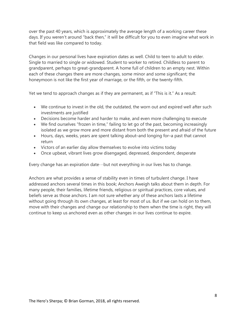over the past 40 years, which is approximately the average length of a working career these days. If you weren't around "back then," it will be difficult for you to even imagine what work in that field was like compared to today.

Changes in our personal lives have expiration dates as well. Child to teen to adult to elder. Single to married to single or widowed. Student to worker to retired. Childless to parent to grandparent, perhaps to great-grandparent. A home full of children to an empty nest. Within each of these changes there are more changes, some minor and some significant; the honeymoon is not like the first year of marriage, or the fifth, or the twenty-fifth.

Yet we tend to approach changes as if they are permanent, as if "This is it." As a result:

- We continue to invest in the old, the outdated, the worn out and expired well after such investments are justified
- Decisions become harder and harder to make, and even more challenging to execute
- We find ourselves "frozen in time," failing to let go of the past, becoming increasingly isolated as we grow more and more distant from both the present and afraid of the future
- Hours, days, weeks, years are spent talking about–and longing for–a past that cannot return
- Victors of an earlier day allow themselves to evolve into victims today
- Once upbeat, vibrant lives grow disengaged, depressed, despondent, desperate

Every change has an expiration date…but not everything in our lives has to change.

Anchors are what provides a sense of stability even in times of turbulent change. I have addressed anchors several times in this book; [Anchors Aweigh t](http://changementor.net/2014/10/06/anchors-aweigh/)alks about them in depth. For many people, their families, lifetime friends, religious or spiritual practices, core values, and beliefs serve as those anchors. I am not sure whether any of these anchors lasts a lifetime without going through its own changes, at least for most of us. But if we can hold on to them, move with their changes and change our relationship to them when the time is right, they will continue to keep us anchored even as other changes in our lives continue to expire.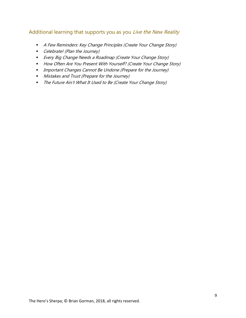# <span id="page-8-0"></span>Additional learning that supports you as you Live the New Reality

- A Few Reminders: Key Change Principles (Create Your Change Story)
- Celebrate! (Plan the Journey)
- **Every Big Change Needs a Roadmap (Create Your Change Story)**
- How Often Are You Present With Yourself? (Create Your Change Story)
- **Important Changes Cannot Be Undone (Prepare for the Journey)**
- **Mistakes and Trust (Prepare for the Journey)**
- The Future Ain't What It Used to Be (Create Your Change Story)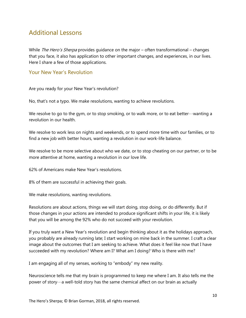# <span id="page-9-0"></span>Additional Lessons

While *The Hero's Sherpa* provides guidance on the major – often transformational – changes that you face, it also has application to other important changes, and experiences, in our lives. Here I share a few of those applications.

# <span id="page-9-1"></span>Your New Year's Revolution

Are you ready for your New Year's revolution?

No, that's not a typo. We make resolutions, wanting to achieve revolutions.

We resolve to go to the gym, or to stop smoking, or to walk more, or to eat better…wanting a revolution in our health.

We resolve to work less on nights and weekends, or to spend more time with our families, or to find a new job with better hours, wanting a revolution in our work-life balance.

We resolve to be more selective about who we date, or to stop cheating on our partner, or to be more attentive at home, wanting a revolution in our love life.

62% of Americans make New Year's resolutions.

8% of them are successful in achieving their goals.

We make resolutions, wanting revolutions.

Resolutions are about actions, things we will start doing, stop doing, or do differently. But if those changes in your actions are intended to produce significant shifts in your life, it is likely that you will be among the 92% who do not succeed with your revolution.

If you truly want a New Year's revolution and begin thinking about it as the holidays approach, you probably are already running late; I start working on mine back in the summer. I craft a clear image about the outcomes that I am seeking to achieve. What does it feel like now that I have succeeded with my revolution? Where am I? What am I doing? Who is there with me?

I am engaging all of my senses, working to "embody" my new reality.

Neuroscience tells me that my brain is programmed to keep me where I am. It also tells me the power of story…a well-told story has the same chemical affect on our brain as actually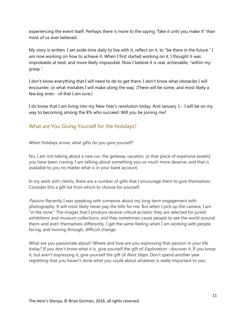experiencing the event itself. Perhaps there is more to the saying "fake it until you make it" than most of us ever believed.

My story is written. I set aside time daily to live with it, reflect on it, to "be there in the future." I am now working on how to achieve it. When I first started working on it, I thought it was improbable at best, and more likely impossible. Now I believe it is real, achievable, "within my grasp."

I don't know everything that I will need to do to get there. I don't know what obstacles I will encounter, or what mistakes I will make along the way. (There will be some, and most likely a few big ones  $\cdots$  of that I am sure.)

I do know that I am living into my New Year's revolution today. And January  $1 \cdots 1$  will be on my way to becoming among the 8% who succeed. Will you be joining me?

# <span id="page-10-0"></span>What are You Giving Yourself for the Holidays?

When holidays arrive, what gifts do you give yourself?

No, I am not talking about a new car, the getaway vacation, or that piece of expensive jewelry you have been craving. I am talking about something you so much more deserve, and that is available to you no matter what is in your bank account.

In my work with clients, there are a number of gifts that I encourage them to give themselves. Consider this a gift list from which to choose for yourself.

Passion: Recently I was speaking with someone about my long-term engagement with photography. It will most likely never pay the bills for me. But when I pick up the camera, I am "in the zone." The images that I produce receive critical acclaim; they are selected for juried exhibitions and museum collections; and they sometimes cause people to see the world around them–and even themselves–differently. I get the same feeling when I am working with people facing, and moving through, difficult change.

What are you passionate about? Where and how are you expressing that passion in your life today? If you don't know what it is, give yourself the gift of *Exploration*  $\cdots$  discover it. If you know it, but aren't expressing it, give yourself the gift of Next Steps. Don't spend another year regretting that you haven't done what you could about whatever is really important to you.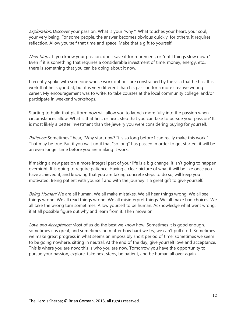Exploration: Discover your passion. What is your "why?" What touches your heart, your soul, your very being. For some people, the answer becomes obvious quickly; for others, it requires reflection. Allow yourself that time and space. Make that a gift to yourself.

Next Steps: If you know your passion, don't save it for retirement, or "until things slow down." Even if it is something that requires a considerable investment of time, money, energy, etc., there is something that you can be doing about it now.

I recently spoke with someone whose work options are constrained by the visa that he has. It is work that he is good at, but it is very different than his passion for a more creative writing career. My encouragement was to write, to take courses at the local community college, and/or participate in weekend workshops.

Starting to build that platform now will allow you to launch more fully into the passion when circumstances allow. What is that first, or next, step that you can take to pursue your passion? It is most likely a better investment than the jewelry you were considering buying for yourself.

Patience: Sometimes I hear, "Why start now? It is so long before I can really make this work." That may be true. But if you wait until that "so long" has passed in order to get started, it will be an even longer time before you are making it work.

If making a new passion a more integral part of your life is a big change, it isn't going to happen overnight. It is going to require patience. Having a clear picture of what it will be like once you have achieved it, and knowing that you are taking concrete steps to do so, will keep you motivated. Being patient with yourself and with the journey is a great gift to give yourself.

Being Human: We are all human. We all make mistakes. We all hear things wrong. We all see things wrong. We all read things wrong. We all misinterpret things. We all make bad choices. We all take the wrong turn sometimes. Allow yourself to be human. Acknowledge what went wrong; if at all possible figure out why and learn from it. Then move on.

Love and Acceptance: Most of us do the best we know how. Sometimes it is good enough, sometimes it is great, and sometimes no matter how hard we try, we can't pull it off. Sometimes we make great progress in what seems an impossibly short period of time; sometimes we seem to be going nowhere, sitting in neutral. At the end of the day, give yourself love and acceptance. This is where you are now; this is who you are now. Tomorrow you have the opportunity to pursue your passion, explore, take next steps, be patient, and be human all over again.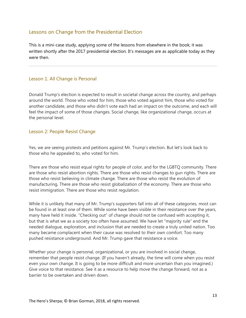# <span id="page-12-0"></span>Lessons on Change from the Presidential Election

This is a mini-case study, applying some of the lessons from elsewhere in the book; it was written shortly after the 2017 presidential election. It's messages are as applicable today as they were then.

### <span id="page-12-1"></span>Lesson 1: All Change is Personal

Donald Trump's election is expected to result in societal change across the country, and perhaps around the world. Those who voted for him, those who voted against him, those who voted for another candidate, and those who didn't vote each had an impact on the outcome, and each will feel the impact of some of those changes. Social change, like organizational change, occurs at the personal level.

#### <span id="page-12-2"></span>Lesson 2: People Resist Change

Yes, we are seeing protests and petitions against Mr. Trump's election. But let's look back to those who he appealed to, who voted for him.

There are those who resist equal rights for people of color, and for the LGBTQ community. There are those who resist abortion rights. There are those who resist changes to gun rights. There are those who resist believing in climate change. There are those who resist the evolution of manufacturing. There are those who resist globalization of the economy. There are those who resist immigration. There are those who resist regulation.

While it is unlikely that many of Mr. Trump's supporters fall into all of these categories, most can be found in at least one of them. While some have been visible in their resistance over the years, many have held it inside. "Checking out" of change should not be confused with accepting it, but that is what we as a society too often have assumed. We have let "majority rule" end the needed dialogue, exploration, and inclusion that are needed to create a truly united nation. Too many became complacent when their cause was resolved to their own comfort. Too many pushed resistance underground. And Mr. Trump gave that resistance a voice.

Whether your change is personal, organizational, or you are involved in social change, remember that people resist change. (If you haven't already, the time will come when you resist even your own change. It is going to be more difficult and more uncertain than you imagined.) Give voice to that resistance. See it as a resource to help move the change forward, not as a barrier to be overtaken and driven down.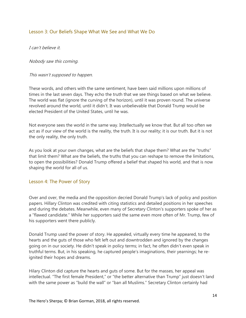## <span id="page-13-0"></span>Lesson 3: Our Beliefs Shape What We See and What We Do

I can't believe it.

Nobody saw this coming.

This wasn't supposed to happen.

These words, and others with the same sentiment, have been said millions upon millions of times in the last seven days. They echo the truth that we see things based on what we believe. The world was flat (ignore the curving of the horizon), until it was proven round. The universe revolved around the world, until it didn't. It was unbelievable that Donald Trump would be elected President of the United States, until he was.

Not everyone sees the world in the same way. Intellectually we know that. But all too often we act as if our view of the world is the reality, the truth. It is our reality; it is our truth. But it is not the only reality, the only truth.

As you look at your own changes, what are the beliefs that shape them? What are the "truths" that limit them? What are the beliefs, the truths that you can reshape to remove the limitations, to open the possibilities? Donald Trump offered a belief that shaped his world, and that is now shaping the world for all of us.

### <span id="page-13-1"></span>Lesson 4: The Power of Story

Over and over, the media and the opposition decried Donald Trump's lack of policy and position papers. Hillary Clinton was credited with citing statistics and detailed positions in her speeches and during the debates. Meanwhile, even many of Secretary Clinton's supporters spoke of her as a "flawed candidate." While her supporters said the same even more often of Mr. Trump, few of his supporters went there publicly.

Donald Trump used the power of story. He appealed, virtually every time he appeared, to the hearts and the guts of those who felt left out and downtrodden and ignored by the changes going on in our society. He didn't speak in policy terms; in fact, he often didn't even speak in truthful terms. But, in his speaking, he captured people's imaginations, their yearnings; he reignited their hopes and dreams.

Hilary Clinton did capture the hearts and guts of some. But for the masses, her appeal was intellectual. "The first female President," or "the better alternative than Trump" just doesn't land with the same power as "build the wall" or "ban all Muslims." Secretary Clinton certainly had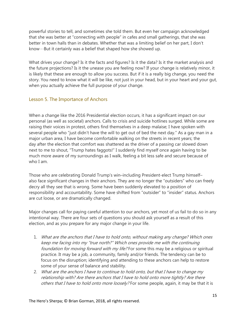powerful stories to tell, and sometimes she told them. But even her campaign acknowledged that she was better at "connecting with people" in cafes and small gatherings, that she was better in town halls than in debates. Whether that was a limiting belief on her part, I don't know…But it certainly was a belief that shaped how she showed up.

What drives your change? Is it the facts and figures? Is it the data? Is it the market analysis and the future projections? Is it the unease you are feeling now? If your change is relatively minor, it is likely that these are enough to allow you success. But if it is a really big change, you need the story. You need to know what it will be like, not just in your head, but in your heart and your gut, when you actually achieve the full purpose of your change.

# <span id="page-14-0"></span>Lesson 5. The Importance of Anchors

When a change like the 2016 Presidential election occurs, it has a significant impact on our personal (as well as societal) anchors. Calls to crisis and suicide hotlines surged. While some are raising their voices in protest, others find themselves in a deep malaise; I have spoken with several people who "just didn't have the will to get out of bed the next day." As a gay man in a major urban area, I have become comfortable walking on the streets in recent years; the day after the election that comfort was shattered as the driver of a passing car slowed down next to me to shout, "Trump hates faggots!" I suddenly find myself once again having to be much more aware of my surroundings as I walk, feeling a bit less safe and secure because of who I am.

Those who are celebrating Donald Trump's win–including President-elect Trump himself– also face significant changes in their anchors. They are no longer the "outsiders" who can freely decry all they see that is wrong. Some have been suddenly elevated to a position of responsibility and accountability. Some have shifted from "outsider" to "insider" status. Anchors are cut loose, or are dramatically changed.

Major changes call for paying careful attention to our anchors, yet most of us fail to do so in any intentional way. There are four sets of questions you should ask yourself as a result of this election, and as you prepare for any major change in your life.

- 1. What are the anchors that I have to hold onto, without making any change? Which ones keep me facing into my "true north?" Which ones provide me with the continuing foundation for moving forward with my life? For some this may be a religious or spiritual practice. It may be a job, a community, family and/or friends. The tendency can be to focus on the disruption; identifying and attending to these anchors can help to restore some of your sense of balance and stability.
- 2. What are the anchors I have to continue to hold onto, but that I have to change my relationship with? Are there anchors that I have to hold onto more tightly? Are there others that I have to hold onto more loosely? For some people, again, it may be that it is